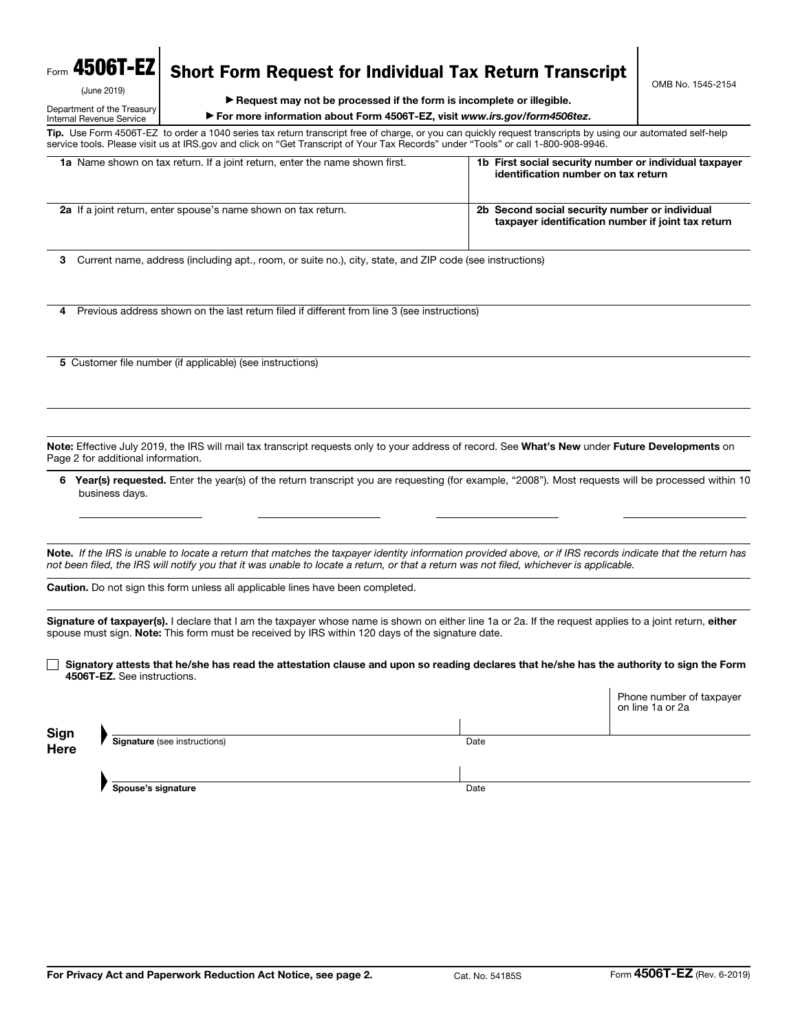# Form 4506T-EZ

(June 2019)

#### Department of the Treasury Internal Revenue Service

Short Form Request for Individual Tax Return Transcript

Tip. Use Form 4506T-EZ to order a 1040 series tax return transcript free of charge, or you can quickly request transcripts by using our automated self-help service tools. Please visit us at IRS.gov and click on "Get Transcript of Your Tax Records" under "Tools" or call 1-800-908-9946.

| 1a Name shown on tax return. If a joint return, enter the name shown first. | 1b First social security number or individual taxpayer<br>identification number on tax return        |
|-----------------------------------------------------------------------------|------------------------------------------------------------------------------------------------------|
| 2a If a joint return, enter spouse's name shown on tax return.              | 2b Second social security number or individual<br>taxpayer identification number if joint tax return |

3 Current name, address (including apt., room, or suite no.), city, state, and ZIP code (see instructions)

4 Previous address shown on the last return filed if different from line 3 (see instructions)

5 Customer file number (if applicable) (see instructions)

Note: Effective July 2019, the IRS will mail tax transcript requests only to your address of record. See What's New under Future Developments on Page 2 for additional information.

6 Year(s) requested. Enter the year(s) of the return transcript you are requesting (for example, "2008"). Most requests will be processed within 10 business days.

Note. *If the IRS is unable to locate a return that matches the taxpayer identity information provided above, or if IRS records indicate that the return has not been filed, the IRS will notify you that it was unable to locate a return, or that a return was not filed, whichever is applicable.* 

Caution. Do not sign this form unless all applicable lines have been completed.

Signature of taxpayer(s). I declare that I am the taxpayer whose name is shown on either line 1a or 2a. If the request applies to a joint return, either spouse must sign. Note: This form must be received by IRS within 120 days of the signature date.

 $\Box$  Signatory attests that he/she has read the attestation clause and upon so reading declares that he/she has the authority to sign the Form 4506T-EZ. See instructions.

|              |                                     |      | Phone number of taxpayer<br>on line 1a or 2a |
|--------------|-------------------------------------|------|----------------------------------------------|
| Sign<br>Here |                                     |      |                                              |
|              | <b>Signature</b> (see instructions) | Date |                                              |
|              |                                     |      |                                              |
|              | Spouse's signature                  | Date |                                              |